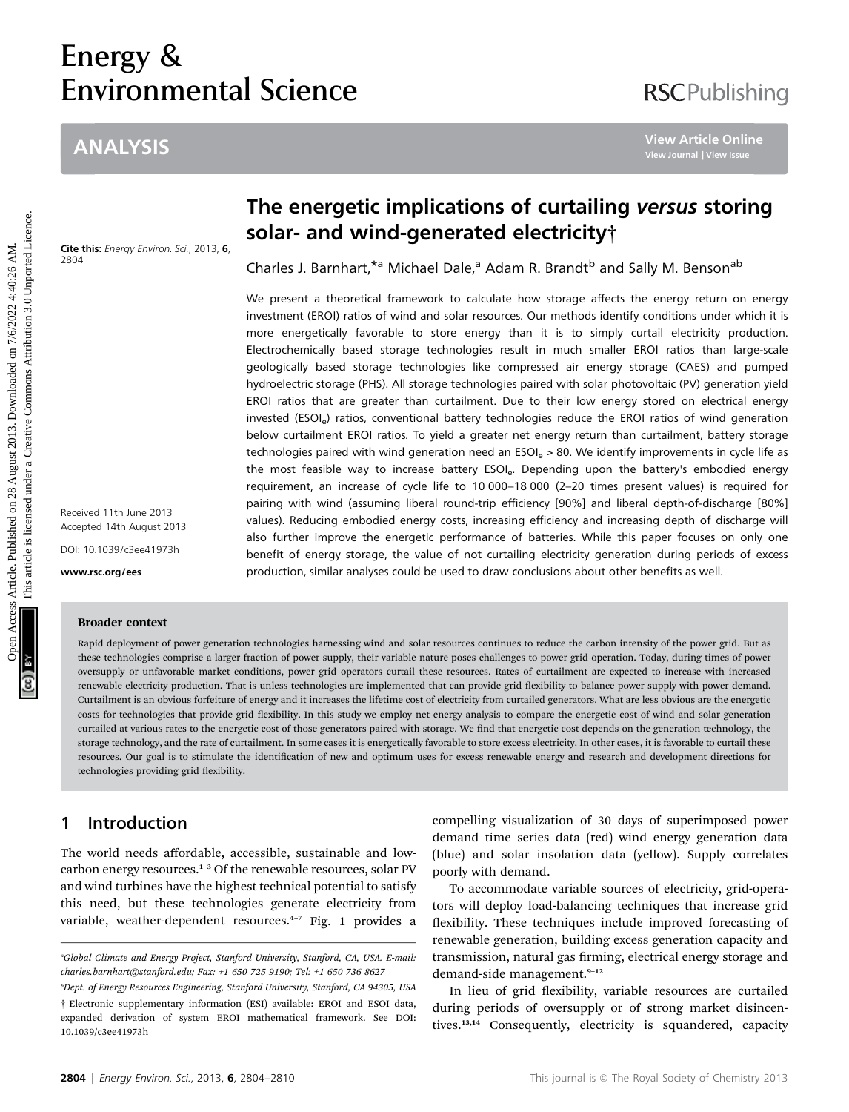# Energy &<br>Environmental Science Environmental Science

# ANALYSIS

Cite this: Energy Environ. Sci., 2013, 6, 2804

Received 11th June 2013 Accepted 14th August 2013

DOI: 10.1039/c3ee41973h

www.rsc.org/ees

#### Broader context

# The energetic implications of curtailing versus storing solar- and wind-generated electricity†

Charles J. Barnhart,<sup>\*a</sup> Michael Dale,<sup>a</sup> Adam R. Brandt<sup>b</sup> and Sally M. Benson<sup>ab</sup>

We present a theoretical framework to calculate how storage affects the energy return on energy investment (EROI) ratios of wind and solar resources. Our methods identify conditions under which it is more energetically favorable to store energy than it is to simply curtail electricity production. Electrochemically based storage technologies result in much smaller EROI ratios than large-scale geologically based storage technologies like compressed air energy storage (CAES) and pumped hydroelectric storage (PHS). All storage technologies paired with solar photovoltaic (PV) generation yield EROI ratios that are greater than curtailment. Due to their low energy stored on electrical energy invested (ESOI<sub>e</sub>) ratios, conventional battery technologies reduce the EROI ratios of wind generation below curtailment EROI ratios. To yield a greater net energy return than curtailment, battery storage technologies paired with wind generation need an  $ESO<sub>e</sub> > 80$ . We identify improvements in cycle life as the most feasible way to increase battery ESOI<sub>e</sub>. Depending upon the battery's embodied energy requirement, an increase of cycle life to 10 000–18 000 (2–20 times present values) is required for pairing with wind (assuming liberal round-trip efficiency [90%] and liberal depth-of-discharge [80%] values). Reducing embodied energy costs, increasing efficiency and increasing depth of discharge will also further improve the energetic performance of batteries. While this paper focuses on only one benefit of energy storage, the value of not curtailing electricity generation during periods of excess production, similar analyses could be used to draw conclusions about other benefits as well. ANALYSIS<br>
Solar- and wind-generated electricity<br>
Solar- and wind-generated electricity<br>
Solar- and wind-generated electricity<br>
Solar- and wind-generated electricity<br>
The energetic implications of curtailing versus storing

Rapid deployment of power generation technologies harnessing wind and solar resources continues to reduce the carbon intensity of the power grid. But as these technologies comprise a larger fraction of power supply, their variable nature poses challenges to power grid operation. Today, during times of power oversupply or unfavorable market conditions, power grid operators curtail these resources. Rates of curtailment are expected to increase with increased renewable electricity production. That is unless technologies are implemented that can provide grid flexibility to balance power supply with power demand. Curtailment is an obvious forfeiture of energy and it increases the lifetime cost of electricity from curtailed generators. What are less obvious are the energetic costs for technologies that provide grid flexibility. In this study we employ net energy analysis to compare the energetic cost of wind and solar generation curtailed at various rates to the energetic cost of those generators paired with storage. We find that energetic cost depends on the generation technology, the storage technology, and the rate of curtailment. In some cases it is energetically favorable to store excess electricity. In other cases, it is favorable to curtail these resources. Our goal is to stimulate the identification of new and optimum uses for excess renewable energy and research and development directions for technologies providing grid flexibility.

## 1 Introduction

The world needs affordable, accessible, sustainable and lowcarbon energy resources.<sup>1-3</sup> Of the renewable resources, solar PV and wind turbines have the highest technical potential to satisfy this need, but these technologies generate electricity from variable, weather-dependent resources.<sup>4-7</sup> Fig. 1 provides a

compelling visualization of 30 days of superimposed power demand time series data (red) wind energy generation data (blue) and solar insolation data (yellow). Supply correlates poorly with demand.

To accommodate variable sources of electricity, grid-operators will deploy load-balancing techniques that increase grid flexibility. These techniques include improved forecasting of renewable generation, building excess generation capacity and transmission, natural gas firming, electrical energy storage and demand-side management.<sup>9</sup>–<sup>12</sup>

In lieu of grid flexibility, variable resources are curtailed during periods of oversupply or of strong market disincentives.<sup>13,14</sup> Consequently, electricity is squandered, capacity

a Global Climate and Energy Project, Stanford University, Stanford, CA, USA. E-mail: charles.barnhart@stanford.edu; Fax: +1 650 725 9190; Tel: +1 650 736 8627

b Dept. of Energy Resources Engineering, Stanford University, Stanford, CA 94305, USA † Electronic supplementary information (ESI) available: EROI and ESOI data, expanded derivation of system EROI mathematical framework. See DOI: 10.1039/c3ee41973h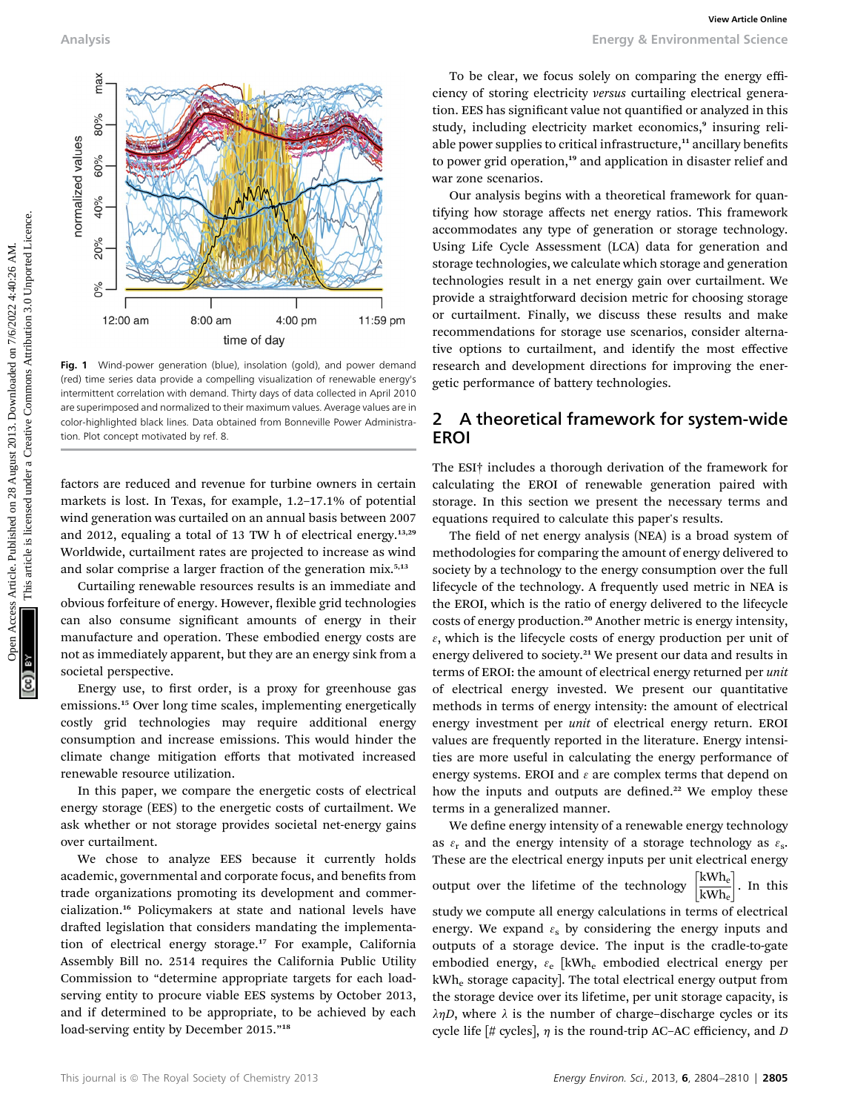

Fig. 1 Wind-power generation (blue), insolation (gold), and power demand (red) time series data provide a compelling visualization of renewable energy's intermittent correlation with demand. Thirty days of data collected in April 2010 are superimposed and normalized to their maximum values. Average values are in color-highlighted black lines. Data obtained from Bonneville Power Administration. Plot concept motivated by ref. 8.

factors are reduced and revenue for turbine owners in certain markets is lost. In Texas, for example, 1.2–17.1% of potential wind generation was curtailed on an annual basis between 2007 and 2012, equaling a total of 13 TW h of electrical energy.<sup>13,29</sup> Worldwide, curtailment rates are projected to increase as wind and solar comprise a larger fraction of the generation mix.<sup>5,13</sup>

Curtailing renewable resources results is an immediate and obvious forfeiture of energy. However, flexible grid technologies can also consume significant amounts of energy in their manufacture and operation. These embodied energy costs are not as immediately apparent, but they are an energy sink from a societal perspective.

Energy use, to first order, is a proxy for greenhouse gas emissions.<sup>15</sup> Over long time scales, implementing energetically costly grid technologies may require additional energy consumption and increase emissions. This would hinder the climate change mitigation efforts that motivated increased renewable resource utilization.

In this paper, we compare the energetic costs of electrical energy storage (EES) to the energetic costs of curtailment. We ask whether or not storage provides societal net-energy gains over curtailment.

We chose to analyze EES because it currently holds academic, governmental and corporate focus, and benefits from trade organizations promoting its development and commercialization.<sup>16</sup> Policymakers at state and national levels have drafted legislation that considers mandating the implementation of electrical energy storage.<sup>17</sup> For example, California Assembly Bill no. 2514 requires the California Public Utility Commission to "determine appropriate targets for each loadserving entity to procure viable EES systems by October 2013, and if determined to be appropriate, to be achieved by each load-serving entity by December 2015."<sup>18</sup>

To be clear, we focus solely on comparing the energy efficiency of storing electricity versus curtailing electrical generation. EES has significant value not quantified or analyzed in this study, including electricity market economics,<sup>9</sup> insuring reliable power supplies to critical infrastructure,<sup>11</sup> ancillary benefits to power grid operation,<sup>19</sup> and application in disaster relief and war zone scenarios.

Our analysis begins with a theoretical framework for quantifying how storage affects net energy ratios. This framework accommodates any type of generation or storage technology. Using Life Cycle Assessment (LCA) data for generation and storage technologies, we calculate which storage and generation technologies result in a net energy gain over curtailment. We provide a straightforward decision metric for choosing storage or curtailment. Finally, we discuss these results and make recommendations for storage use scenarios, consider alternative options to curtailment, and identify the most effective research and development directions for improving the energetic performance of battery technologies.

## 2 A theoretical framework for system-wide EROI

The ESI† includes a thorough derivation of the framework for calculating the EROI of renewable generation paired with storage. In this section we present the necessary terms and equations required to calculate this paper's results.

The field of net energy analysis (NEA) is a broad system of methodologies for comparing the amount of energy delivered to society by a technology to the energy consumption over the full lifecycle of the technology. A frequently used metric in NEA is the EROI, which is the ratio of energy delivered to the lifecycle costs of energy production.<sup>20</sup> Another metric is energy intensity,  $\varepsilon$ , which is the lifecycle costs of energy production per unit of energy delivered to society.<sup>21</sup> We present our data and results in terms of EROI: the amount of electrical energy returned per unit of electrical energy invested. We present our quantitative methods in terms of energy intensity: the amount of electrical energy investment per unit of electrical energy return. EROI values are frequently reported in the literature. Energy intensities are more useful in calculating the energy performance of energy systems. EROI and  $\varepsilon$  are complex terms that depend on how the inputs and outputs are defined.<sup>22</sup> We employ these terms in a generalized manner.

We define energy intensity of a renewable energy technology as  $\varepsilon_r$  and the energy intensity of a storage technology as  $\varepsilon_s$ . These are the electrical energy inputs per unit electrical energy output over the lifetime of the technology  $\left[\frac{kWh_e}{kwh_e}\right]$  $kWh_e$  . In this study we compute all energy calculations in terms of electrical energy. We expand  $\varepsilon_{s}$  by considering the energy inputs and outputs of a storage device. The input is the cradle-to-gate embodied energy,  $\varepsilon_e$  [kWh<sub>e</sub> embodied electrical energy per kWhe storage capacity]. The total electrical energy output from the storage device over its lifetime, per unit storage capacity, is  $\lambda \eta D$ , where  $\lambda$  is the number of charge–discharge cycles or its cycle life [# cycles],  $\eta$  is the round-trip AC–AC efficiency, and D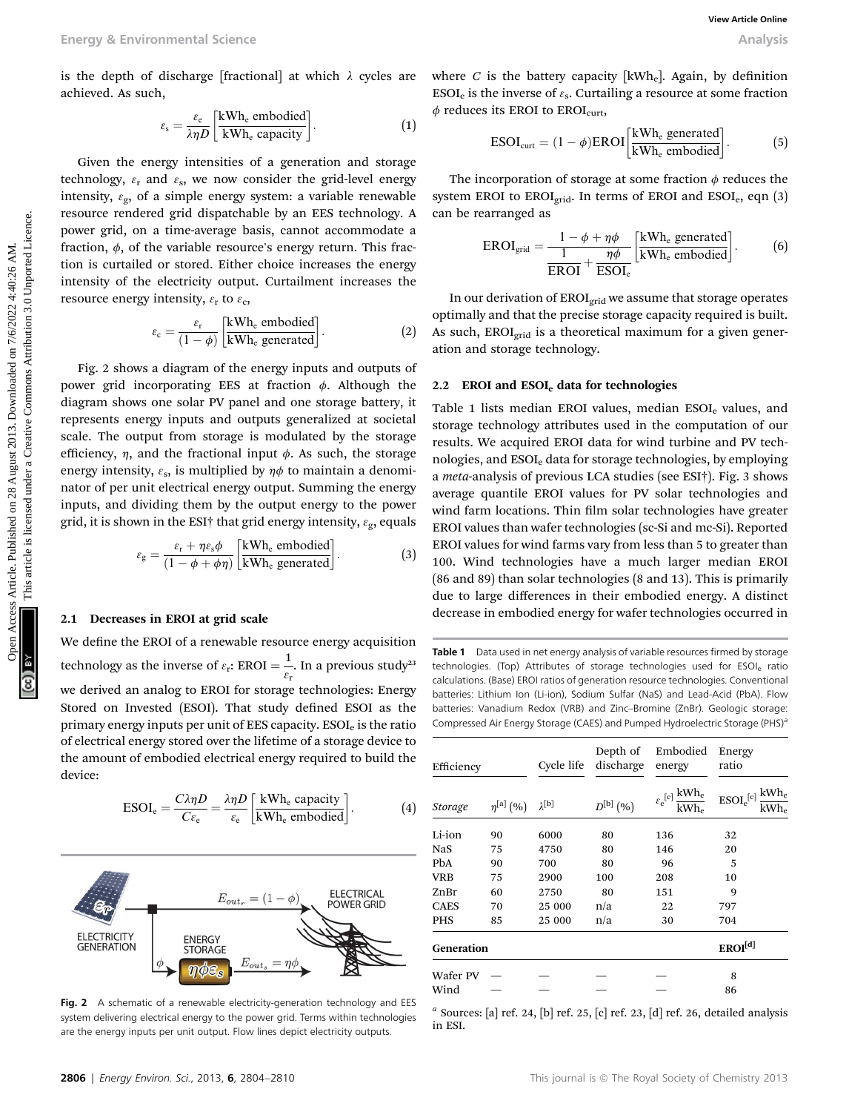is the depth of discharge [fractional] at which  $\lambda$  cycles are achieved. As such,

$$
\varepsilon_{\rm s} = \frac{\varepsilon_{\rm e}}{\lambda \eta D} \left[ \frac{\text{kWh}_{\rm e} \text{ embodied}}{\text{kWh}_{\rm e} \text{ capacity}} \right]. \tag{1}
$$

Given the energy intensities of a generation and storage technology,  $\varepsilon$ <sub>r</sub> and  $\varepsilon$ <sub>s</sub>, we now consider the grid-level energy intensity,  $\varepsilon_{\rm g}$ , of a simple energy system: a variable renewable resource rendered grid dispatchable by an EES technology. A power grid, on a time-average basis, cannot accommodate a fraction,  $\phi$ , of the variable resource's energy return. This fraction is curtailed or stored. Either choice increases the energy intensity of the electricity output. Curtailment increases the resource energy intensity,  $\varepsilon_r$  to  $\varepsilon_c$ ,

$$
\varepsilon_{\rm c} = \frac{\varepsilon_{\rm r}}{(1-\phi)} \left[ \frac{\text{kWh}_{\rm e} \text{ embodied}}{\text{kWh}_{\rm e} \text{ generated}} \right]. \tag{2}
$$

Fig. 2 shows a diagram of the energy inputs and outputs of power grid incorporating EES at fraction  $\phi$ . Although the diagram shows one solar PV panel and one storage battery, it represents energy inputs and outputs generalized at societal scale. The output from storage is modulated by the storage efficiency,  $\eta$ , and the fractional input  $\phi$ . As such, the storage energy intensity,  $\varepsilon_{s}$ , is multiplied by  $\eta\phi$  to maintain a denominator of per unit electrical energy output. Summing the energy inputs, and dividing them by the output energy to the power grid, it is shown in the ESI<sup>†</sup> that grid energy intensity,  $\varepsilon_{\rm g}$ , equals

$$
\varepsilon_{\rm g} = \frac{\varepsilon_{\rm r} + \eta \varepsilon_{\rm s} \phi}{(1 - \phi + \phi \eta)} \left[ \frac{\text{kWh}_{\rm e} \text{ embodied}}{\text{kWh}_{\rm e} \text{ generated}} \right]. \tag{3}
$$

#### 2.1 Decreases in EROI at grid scale

We define the EROI of a renewable resource energy acquisition technology as the inverse of  $\varepsilon_r$ : EROI =  $\frac{1}{\varepsilon_r}$ . In a previous study<sup>23</sup> we derived an analog to EROI for storage technologies: Energy Stored on Invested (ESOI). That study defined ESOI as the primary energy inputs per unit of EES capacity.  $ESOI<sub>e</sub>$  is the ratio of electrical energy stored over the lifetime of a storage device to the amount of embodied electrical energy required to build the device:

$$
ESOI_e = \frac{C\lambda\eta D}{C\varepsilon_e} = \frac{\lambda\eta D}{\varepsilon_e} \left[ \frac{\text{kWh}_e \text{ capacity}}{\text{kWh}_e \text{ embodied}} \right]. \tag{4}
$$



Fig. 2 A schematic of a renewable electricity-generation technology and EES system delivering electrical energy to the power grid. Terms within technologies are the energy inputs per unit output. Flow lines depict electricity outputs.

where  $C$  is the battery capacity [kWh<sub>e</sub>]. Again, by definition  $ESOI_e$  is the inverse of  $\varepsilon_s$ . Curtailing a resource at some fraction  $\phi$  reduces its EROI to EROI<sub>curt</sub>,

$$
ESOI_{\text{curl}} = (1 - \phi)EROI\left[\frac{\text{kWh}_e \text{ generated}}{\text{kWh}_e \text{ embodied}}\right].
$$
 (5)

The incorporation of storage at some fraction  $\phi$  reduces the system EROI to  $EROI_{grid}$ . In terms of EROI and  $ESOI_{e}$ , eqn (3) can be rearranged as

$$
EROI_{grid} = \frac{1 - \phi + \eta\phi}{\frac{1}{EROI} + \frac{\eta\phi}{ESOI_e}} \left[ \frac{kWh_e \text{ generated}}{kWh_e \text{ embodied}} \right].
$$
 (6)

In our derivation of EROI<sub>grid</sub> we assume that storage operates optimally and that the precise storage capacity required is built. As such, EROI<sub>grid</sub> is a theoretical maximum for a given generation and storage technology.

#### 2.2 EROI and ESOI<sub>e</sub> data for technologies

Table 1 lists median EROI values, median ESOI<sub>e</sub> values, and storage technology attributes used in the computation of our results. We acquired EROI data for wind turbine and PV technologies, and ESOI<sub>e</sub> data for storage technologies, by employing a meta-analysis of previous LCA studies (see ESI†). Fig. 3 shows average quantile EROI values for PV solar technologies and wind farm locations. Thin film solar technologies have greater EROI values than wafer technologies (sc-Si and mc-Si). Reported EROI values for wind farms vary from less than 5 to greater than 100. Wind technologies have a much larger median EROI (86 and 89) than solar technologies (8 and 13). This is primarily due to large differences in their embodied energy. A distinct decrease in embodied energy for wafer technologies occurred in Energy & Environmental Science<br>
is the depth of discharge functional] at which  $\lambda$  cycles are where  $\epsilon$  is the baseop stress PoC, Correlling it examples<br>  $\epsilon_1 = \frac{r}{(1 - \phi + \phi)}$  [WN<sub>C</sub> employed under a creation and storag

Table 1 Data used in net energy analysis of variable resources firmed by storage technologies. (Top) Attributes of storage technologies used for ESOI<sub>e</sub> ratio calculations. (Base) EROI ratios of generation resource technologies. Conventional batteries: Lithium Ion (Li-ion), Sodium Sulfar (NaS) and Lead-Acid (PbA). Flow batteries: Vanadium Redox (VRB) and Zinc–Bromine (ZnBr). Geologic storage: Compressed Air Energy Storage (CAES) and Pumped Hydroelectric Storage (PHS)<sup>a</sup>

| Efficiency  |                  | Cycle life      | Depth of<br>discharge | Embodied<br>energy                                                                      | Energy<br>ratio                                                            |
|-------------|------------------|-----------------|-----------------------|-----------------------------------------------------------------------------------------|----------------------------------------------------------------------------|
| Storage     | $\eta^{[a]}(\%)$ | $\lambda^{[b]}$ | $D^{[b]}(\%)$         | $\varepsilon_{\rm e}^{[{\rm c}]} \, \frac{\rm kWh_{\rm e}}{}$<br>$\overline{\rm kWh_e}$ | $\mathrm{ESOI}_e^{[c]} \frac{kWh_e}{\vphantom{\big }}$<br>kWh <sub>e</sub> |
| Li-ion      | 90               | 6000            | 80                    | 136                                                                                     | 32                                                                         |
| NaS         | 75               | 4750            | 80                    | 146                                                                                     | 20                                                                         |
| PbA         | 90               | 700             | 80                    | 96                                                                                      | 5                                                                          |
| <b>VRB</b>  | 75               | 2900            | 100                   | 208                                                                                     | 10                                                                         |
| ZnBr        | 60               | 2750            | 80                    | 151                                                                                     | 9                                                                          |
| <b>CAES</b> | 70               | 25 000          | n/a                   | 22                                                                                      | 797                                                                        |
| <b>PHS</b>  | 85               | 25 000          | n/a                   | 30                                                                                      | 704                                                                        |
| Generation  |                  |                 |                       |                                                                                         | $EROI^{[d]}$                                                               |
| Wafer PV    |                  |                 |                       |                                                                                         | 8                                                                          |
| Wind        |                  |                 |                       |                                                                                         | 86                                                                         |

 $a$  Sources: [a] ref. 24, [b] ref. 25, [c] ref. 23, [d] ref. 26, detailed analysis in ESI.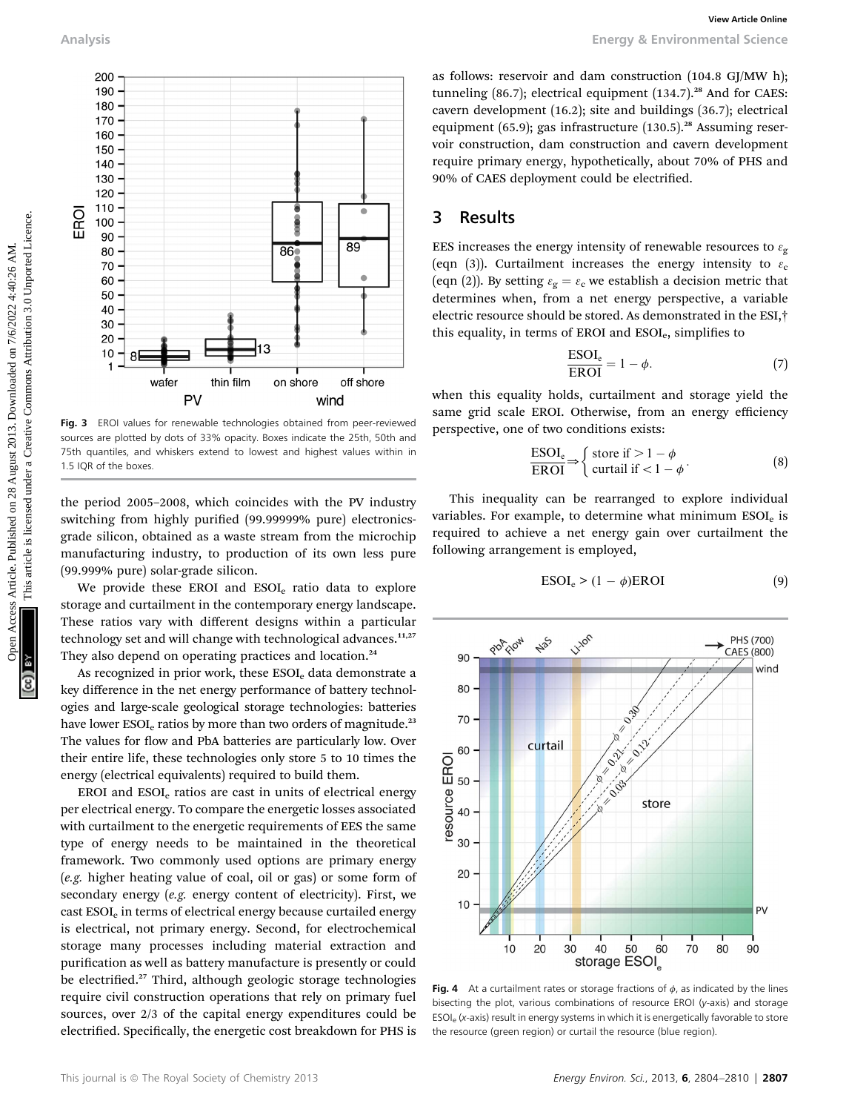

Fig. 3 EROI values for renewable technologies obtained from peer-reviewed sources are plotted by dots of 33% opacity. Boxes indicate the 25th, 50th and 75th quantiles, and whiskers extend to lowest and highest values within in 1.5 IQR of the boxes.

the period 2005–2008, which coincides with the PV industry switching from highly purified (99.99999% pure) electronicsgrade silicon, obtained as a waste stream from the microchip manufacturing industry, to production of its own less pure (99.999% pure) solar-grade silicon.

We provide these EROI and ESOI<sub>e</sub> ratio data to explore storage and curtailment in the contemporary energy landscape. These ratios vary with different designs within a particular technology set and will change with technological advances.<sup>11,27</sup> They also depend on operating practices and location.<sup>24</sup>

As recognized in prior work, these ESOI<sub>e</sub> data demonstrate a key difference in the net energy performance of battery technologies and large-scale geological storage technologies: batteries have lower ESOI<sub>e</sub> ratios by more than two orders of magnitude.<sup>23</sup> The values for flow and PbA batteries are particularly low. Over their entire life, these technologies only store 5 to 10 times the energy (electrical equivalents) required to build them.

EROI and ESOIe ratios are cast in units of electrical energy per electrical energy. To compare the energetic losses associated with curtailment to the energetic requirements of EES the same type of energy needs to be maintained in the theoretical framework. Two commonly used options are primary energy (e.g. higher heating value of coal, oil or gas) or some form of secondary energy (e.g. energy content of electricity). First, we cast ESOIe in terms of electrical energy because curtailed energy is electrical, not primary energy. Second, for electrochemical storage many processes including material extraction and purification as well as battery manufacture is presently or could be electrified.<sup>27</sup> Third, although geologic storage technologies require civil construction operations that rely on primary fuel sources, over 2/3 of the capital energy expenditures could be electrified. Specifically, the energetic cost breakdown for PHS is

as follows: reservoir and dam construction (104.8 GJ/MW h); tunneling  $(86.7)$ ; electrical equipment  $(134.7)$ .<sup>28</sup> And for CAES: cavern development (16.2); site and buildings (36.7); electrical equipment (65.9); gas infrastructure  $(130.5)$ .<sup>28</sup> Assuming reservoir construction, dam construction and cavern development require primary energy, hypothetically, about 70% of PHS and 90% of CAES deployment could be electrified.

### 3 Results

EES increases the energy intensity of renewable resources to  $\varepsilon_{\varphi}$ (eqn (3)). Curtailment increases the energy intensity to  $\varepsilon_c$ (eqn (2)). By setting  $\varepsilon_{\rm g} = \varepsilon_{\rm c}$  we establish a decision metric that determines when, from a net energy perspective, a variable electric resource should be stored. As demonstrated in the ESI,† this equality, in terms of EROI and ESOI<sub>e</sub>, simplifies to

$$
\frac{\text{ESOI}_{\text{e}}}{\text{EROI}} = 1 - \phi. \tag{7}
$$

when this equality holds, curtailment and storage yield the same grid scale EROI. Otherwise, from an energy efficiency perspective, one of two conditions exists:

$$
\frac{\text{ESOI}_{e}}{\text{EROI}} \Rightarrow \begin{cases} \text{store if } > 1 - \phi \\ \text{curtail if } < 1 - \phi \end{cases} \tag{8}
$$

This inequality can be rearranged to explore individual variables. For example, to determine what minimum  $ESOL<sub>e</sub>$  is required to achieve a net energy gain over curtailment the following arrangement is employed,

$$
ESOI_e > (1 - \phi)EROI
$$
 (9)



Fig. 4 At a curtailment rates or storage fractions of  $\phi$ , as indicated by the lines bisecting the plot, various combinations of resource EROI (y-axis) and storage ESOIe (x-axis) result in energy systems in which it is energetically favorable to store the resource (green region) or curtail the resource (blue region).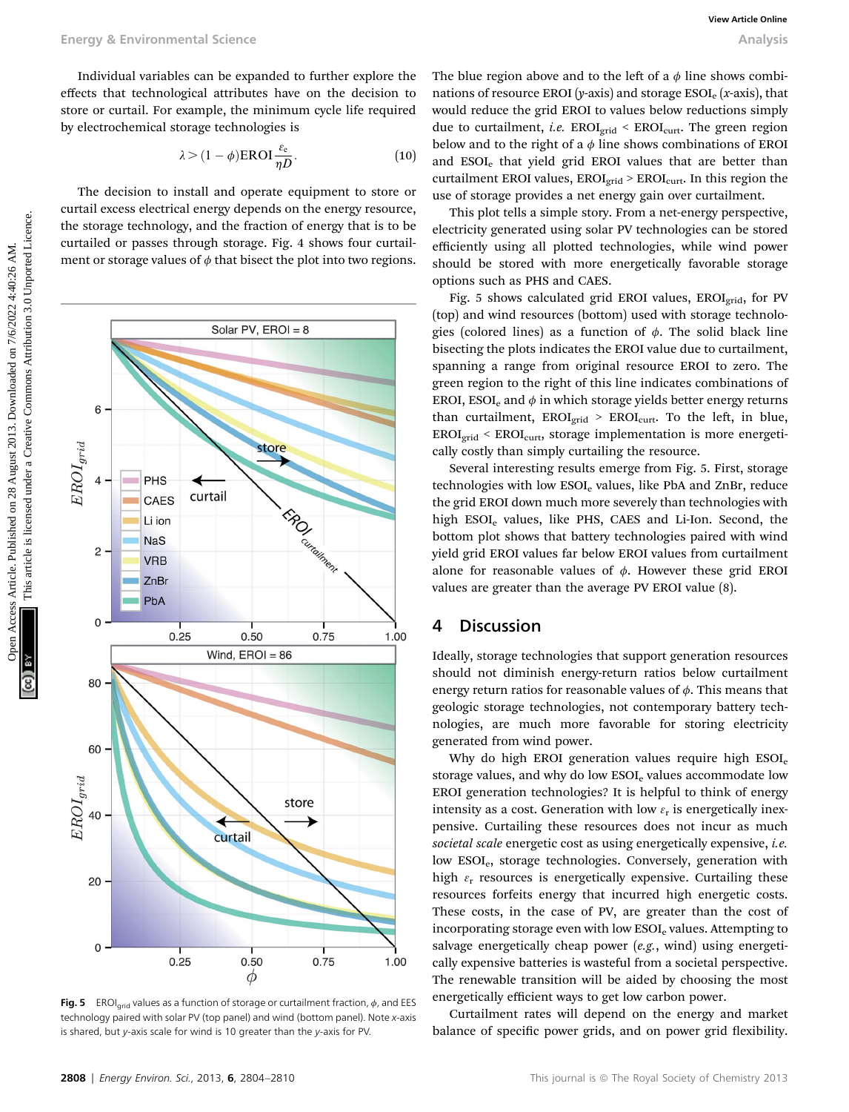Individual variables can be expanded to further explore the effects that technological attributes have on the decision to store or curtail. For example, the minimum cycle life required by electrochemical storage technologies is

$$
\lambda > (1 - \phi) \text{EROI} \frac{\varepsilon_e}{\eta D}.\tag{10}
$$

The decision to install and operate equipment to store or curtail excess electrical energy depends on the energy resource, the storage technology, and the fraction of energy that is to be curtailed or passes through storage. Fig. 4 shows four curtailment or storage values of  $\phi$  that bisect the plot into two regions.



**Fig. 5** EROI<sub>arid</sub> values as a function of storage or curtailment fraction,  $\phi$ , and EES technology paired with solar PV (top panel) and wind (bottom panel). Note x-axis is shared, but y-axis scale for wind is 10 greater than the y-axis for PV.

The blue region above and to the left of a  $\phi$  line shows combinations of resource EROI (y-axis) and storage  $ESOI_{e}$  (x-axis), that would reduce the grid EROI to values below reductions simply due to curtailment, *i.e.*  $EROI_{grid}$  <  $EROI_{cut}$ . The green region below and to the right of a  $\phi$  line shows combinations of EROI and ESOIe that yield grid EROI values that are better than curtailment EROI values,  $EROI<sub>grid</sub>$  >  $EROI<sub>curt</sub>$ . In this region the use of storage provides a net energy gain over curtailment.

This plot tells a simple story. From a net-energy perspective, electricity generated using solar PV technologies can be stored efficiently using all plotted technologies, while wind power should be stored with more energetically favorable storage options such as PHS and CAES.

Fig. 5 shows calculated grid EROI values, EROI<sub>grid</sub>, for PV (top) and wind resources (bottom) used with storage technologies (colored lines) as a function of  $\phi$ . The solid black line bisecting the plots indicates the EROI value due to curtailment, spanning a range from original resource EROI to zero. The green region to the right of this line indicates combinations of EROI, ESOI<sub>e</sub> and  $\phi$  in which storage yields better energy returns than curtailment,  $EROI_{grid} > EROI_{curt}$ . To the left, in blue,  $EROI<sub>grid</sub> < EROI<sub>curt</sub>$ , storage implementation is more energetically costly than simply curtailing the resource.

Several interesting results emerge from Fig. 5. First, storage technologies with low ESOI<sub>e</sub> values, like PbA and ZnBr, reduce the grid EROI down much more severely than technologies with high ESOIe values, like PHS, CAES and Li-Ion. Second, the bottom plot shows that battery technologies paired with wind yield grid EROI values far below EROI values from curtailment alone for reasonable values of  $\phi$ . However these grid EROI values are greater than the average PV EROI value (8).

#### 4 Discussion

Ideally, storage technologies that support generation resources should not diminish energy-return ratios below curtailment energy return ratios for reasonable values of  $\phi$ . This means that geologic storage technologies, not contemporary battery technologies, are much more favorable for storing electricity generated from wind power.

Why do high EROI generation values require high ESOI<sub>e</sub> storage values, and why do low ESOI<sub>e</sub> values accommodate low EROI generation technologies? It is helpful to think of energy intensity as a cost. Generation with low  $\varepsilon_r$  is energetically inexpensive. Curtailing these resources does not incur as much societal scale energetic cost as using energetically expensive, i.e. low ESOI<sub>e</sub>, storage technologies. Conversely, generation with high  $\varepsilon_r$  resources is energetically expensive. Curtailing these resources forfeits energy that incurred high energetic costs. These costs, in the case of PV, are greater than the cost of incorporating storage even with low ESOI<sub>e</sub> values. Attempting to salvage energetically cheap power (e.g., wind) using energetically expensive batteries is wasteful from a societal perspective. The renewable transition will be aided by choosing the most energetically efficient ways to get low carbon power.

Curtailment rates will depend on the energy and market balance of specific power grids, and on power grid flexibility.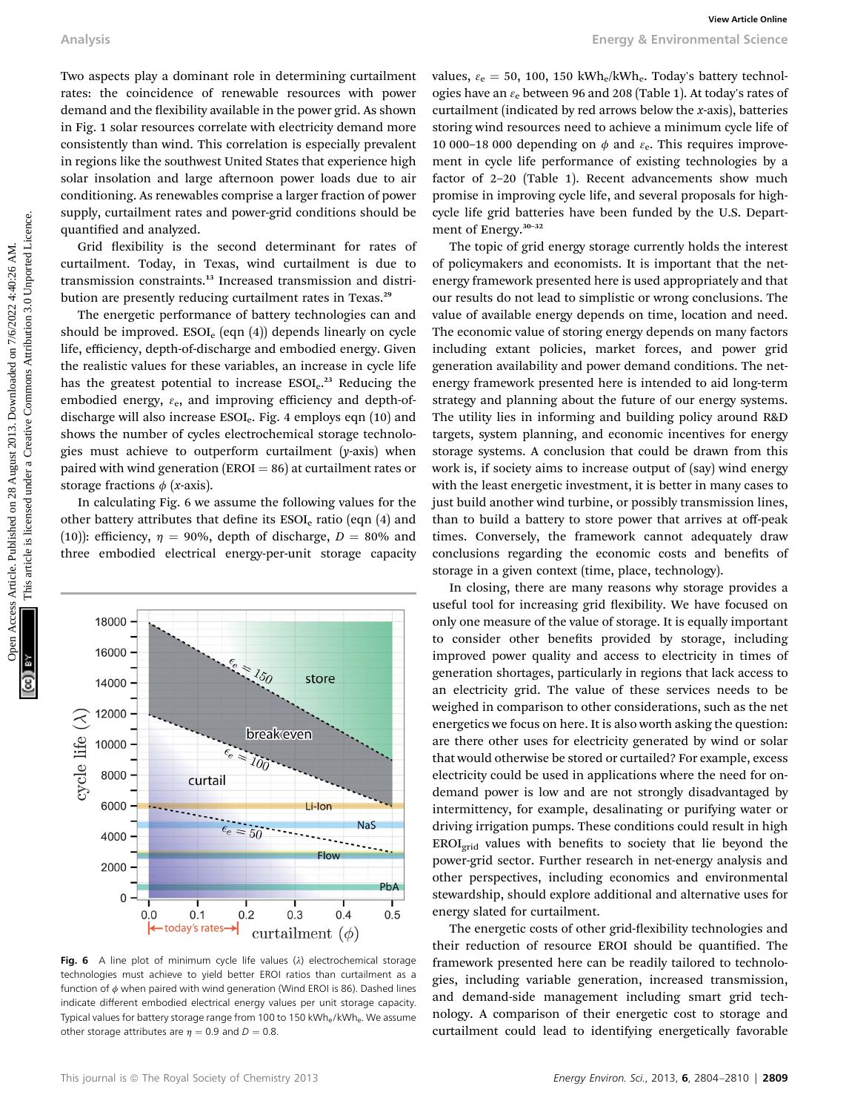Two aspects play a dominant role in determining curtailment rates: the coincidence of renewable resources with power demand and the flexibility available in the power grid. As shown in Fig. 1 solar resources correlate with electricity demand more consistently than wind. This correlation is especially prevalent in regions like the southwest United States that experience high solar insolation and large afternoon power loads due to air conditioning. As renewables comprise a larger fraction of power supply, curtailment rates and power-grid conditions should be quantified and analyzed.

Grid flexibility is the second determinant for rates of curtailment. Today, in Texas, wind curtailment is due to transmission constraints.<sup>13</sup> Increased transmission and distribution are presently reducing curtailment rates in Texas.<sup>29</sup>

The energetic performance of battery technologies can and should be improved.  $ESOI_{e}$  (eqn (4)) depends linearly on cycle life, efficiency, depth-of-discharge and embodied energy. Given the realistic values for these variables, an increase in cycle life has the greatest potential to increase  $ESOI<sub>e</sub>$ .<sup>23</sup> Reducing the embodied energy,  $\varepsilon_e$ , and improving efficiency and depth-ofdischarge will also increase ESOI<sub>e</sub>. Fig. 4 employs eqn (10) and shows the number of cycles electrochemical storage technologies must achieve to outperform curtailment (y-axis) when paired with wind generation (EROI  $= 86$ ) at curtailment rates or storage fractions  $\phi$  (x-axis).

In calculating Fig. 6 we assume the following values for the other battery attributes that define its  $ESOI_{e}$  ratio (eqn (4) and (10)): efficiency,  $\eta = 90\%$ , depth of discharge,  $D = 80\%$  and three embodied electrical energy-per-unit storage capacity



Fig. 6 A line plot of minimum cycle life values  $(\lambda)$  electrochemical storage technologies must achieve to yield better EROI ratios than curtailment as a function of  $\phi$  when paired with wind generation (Wind EROI is 86). Dashed lines indicate different embodied electrical energy values per unit storage capacity. Typical values for battery storage range from 100 to 150 kWh<sub>e</sub>/kWh<sub>e</sub>. We assume other storage attributes are  $\eta = 0.9$  and  $D = 0.8$ .

values,  $\varepsilon_e = 50$ , 100, 150 kWh<sub>e</sub>/kWh<sub>e</sub>. Today's battery technologies have an  $\varepsilon_e$  between 96 and 208 (Table 1). At today's rates of curtailment (indicated by red arrows below the x-axis), batteries storing wind resources need to achieve a minimum cycle life of 10 000–18 000 depending on  $\phi$  and  $\varepsilon_e$ . This requires improvement in cycle life performance of existing technologies by a factor of 2–20 (Table 1). Recent advancements show much promise in improving cycle life, and several proposals for highcycle life grid batteries have been funded by the U.S. Department of Energy.<sup>30-32</sup>

The topic of grid energy storage currently holds the interest of policymakers and economists. It is important that the netenergy framework presented here is used appropriately and that our results do not lead to simplistic or wrong conclusions. The value of available energy depends on time, location and need. The economic value of storing energy depends on many factors including extant policies, market forces, and power grid generation availability and power demand conditions. The netenergy framework presented here is intended to aid long-term strategy and planning about the future of our energy systems. The utility lies in informing and building policy around R&D targets, system planning, and economic incentives for energy storage systems. A conclusion that could be drawn from this work is, if society aims to increase output of (say) wind energy with the least energetic investment, it is better in many cases to just build another wind turbine, or possibly transmission lines, than to build a battery to store power that arrives at off-peak times. Conversely, the framework cannot adequately draw conclusions regarding the economic costs and benefits of storage in a given context (time, place, technology). Accelering a published on 28 August 2013. The same of published on 28 August 2013. Downloaded the measure of the creative interaction of the creative on 2022 and 2022 4:40:40: The creative Commonstrate Commonstrate Common

In closing, there are many reasons why storage provides a useful tool for increasing grid flexibility. We have focused on only one measure of the value of storage. It is equally important to consider other benefits provided by storage, including improved power quality and access to electricity in times of generation shortages, particularly in regions that lack access to an electricity grid. The value of these services needs to be weighed in comparison to other considerations, such as the net energetics we focus on here. It is also worth asking the question: are there other uses for electricity generated by wind or solar that would otherwise be stored or curtailed? For example, excess electricity could be used in applications where the need for ondemand power is low and are not strongly disadvantaged by intermittency, for example, desalinating or purifying water or driving irrigation pumps. These conditions could result in high  $EROI<sub>grid</sub>$  values with benefits to society that lie beyond the power-grid sector. Further research in net-energy analysis and other perspectives, including economics and environmental stewardship, should explore additional and alternative uses for energy slated for curtailment.

The energetic costs of other grid-flexibility technologies and their reduction of resource EROI should be quantified. The framework presented here can be readily tailored to technologies, including variable generation, increased transmission, and demand-side management including smart grid technology. A comparison of their energetic cost to storage and curtailment could lead to identifying energetically favorable